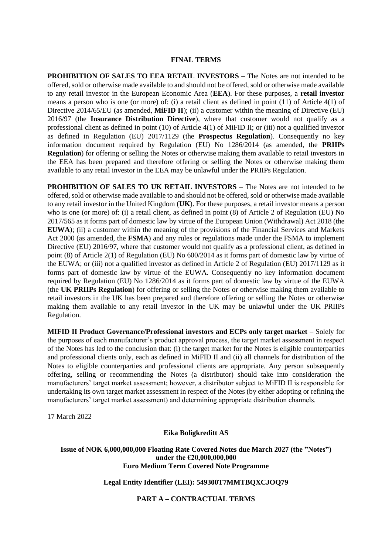#### **FINAL TERMS**

**PROHIBITION OF SALES TO EEA RETAIL INVESTORS –** The Notes are not intended to be offered, sold or otherwise made available to and should not be offered, sold or otherwise made available to any retail investor in the European Economic Area (**EEA**). For these purposes, a **retail investor**  means a person who is one (or more) of: (i) a retail client as defined in point (11) of Article 4(1) of Directive 2014/65/EU (as amended, **MiFID II**); (ii) a customer within the meaning of Directive (EU) 2016/97 (the **Insurance Distribution Directive**), where that customer would not qualify as a professional client as defined in point (10) of Article 4(1) of MiFID II; or (iii) not a qualified investor as defined in Regulation (EU) 2017/1129 (the **Prospectus Regulation**). Consequently no key information document required by Regulation (EU) No 1286/2014 (as amended, the **PRIIPs Regulation**) for offering or selling the Notes or otherwise making them available to retail investors in the EEA has been prepared and therefore offering or selling the Notes or otherwise making them available to any retail investor in the EEA may be unlawful under the PRIIPs Regulation.

**PROHIBITION OF SALES TO UK RETAIL INVESTORS** – The Notes are not intended to be offered, sold or otherwise made available to and should not be offered, sold or otherwise made available to any retail investor in the United Kingdom (**UK**). For these purposes, a retail investor means a person who is one (or more) of: (i) a retail client, as defined in point (8) of Article 2 of Regulation (EU) No 2017/565 as it forms part of domestic law by virtue of the European Union (Withdrawal) Act 2018 (the **EUWA**); (ii) a customer within the meaning of the provisions of the Financial Services and Markets Act 2000 (as amended, the **FSMA**) and any rules or regulations made under the FSMA to implement Directive (EU) 2016/97, where that customer would not qualify as a professional client, as defined in point (8) of Article 2(1) of Regulation (EU) No 600/2014 as it forms part of domestic law by virtue of the EUWA; or (iii) not a qualified investor as defined in Article 2 of Regulation (EU) 2017/1129 as it forms part of domestic law by virtue of the EUWA. Consequently no key information document required by Regulation (EU) No 1286/2014 as it forms part of domestic law by virtue of the EUWA (the **UK PRIIPs Regulation**) for offering or selling the Notes or otherwise making them available to retail investors in the UK has been prepared and therefore offering or selling the Notes or otherwise making them available to any retail investor in the UK may be unlawful under the UK PRIIPs Regulation.

**MIFID II Product Governance/Professional investors and ECPs only target market** – Solely for the purposes of each manufacturer's product approval process, the target market assessment in respect of the Notes has led to the conclusion that: (i) the target market for the Notes is eligible counterparties and professional clients only, each as defined in MiFID II and (ii) all channels for distribution of the Notes to eligible counterparties and professional clients are appropriate. Any person subsequently offering, selling or recommending the Notes (a distributor) should take into consideration the manufacturers' target market assessment; however, a distributor subject to MiFID II is responsible for undertaking its own target market assessment in respect of the Notes (by either adopting or refining the manufacturers' target market assessment) and determining appropriate distribution channels.

17 March 2022

**Eika Boligkreditt AS**

**Issue of NOK 6,000,000,000 Floating Rate Covered Notes due March 2027 (the "Notes") under the €20,000,000,000 Euro Medium Term Covered Note Programme**

**Legal Entity Identifier (LEI): 549300T7MMTBQXCJOQ79**

**PART A – CONTRACTUAL TERMS**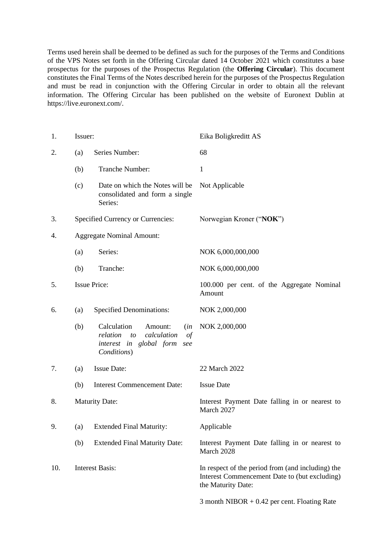Terms used herein shall be deemed to be defined as such for the purposes of the Terms and Conditions of the VPS Notes set forth in the Offering Circular dated 14 October 2021 which constitutes a base prospectus for the purposes of the Prospectus Regulation (the **Offering Circular**). This document constitutes the Final Terms of the Notes described herein for the purposes of the Prospectus Regulation and must be read in conjunction with the Offering Circular in order to obtain all the relevant information. The Offering Circular has been published on the website of Euronext Dublin at https://live.euronext.com/.

| 1.  | Issuer:                |                                                                                                                               | Eika Boligkreditt AS                                                                                                     |  |
|-----|------------------------|-------------------------------------------------------------------------------------------------------------------------------|--------------------------------------------------------------------------------------------------------------------------|--|
| 2.  | (a)                    | Series Number:                                                                                                                | 68                                                                                                                       |  |
|     | (b)                    | Tranche Number:                                                                                                               | $\mathbf{1}$                                                                                                             |  |
|     | (c)                    | Date on which the Notes will be<br>consolidated and form a single<br>Series:                                                  | Not Applicable                                                                                                           |  |
| 3.  |                        | Specified Currency or Currencies:                                                                                             | Norwegian Kroner ("NOK")                                                                                                 |  |
| 4.  |                        | <b>Aggregate Nominal Amount:</b>                                                                                              |                                                                                                                          |  |
|     | (a)                    | Series:                                                                                                                       | NOK 6,000,000,000                                                                                                        |  |
|     | (b)                    | Tranche:                                                                                                                      | NOK 6,000,000,000                                                                                                        |  |
| 5.  |                        | <b>Issue Price:</b>                                                                                                           | 100.000 per cent. of the Aggregate Nominal<br>Amount                                                                     |  |
| 6.  | (a)                    | <b>Specified Denominations:</b>                                                                                               | NOK 2,000,000                                                                                                            |  |
|     | (b)                    | Calculation<br>Amount:<br>(in<br>calculation<br>relation<br>to<br>$\sigma f$<br>interest in global form<br>see<br>Conditions) | NOK 2,000,000                                                                                                            |  |
| 7.  | (a)                    | <b>Issue Date:</b>                                                                                                            | 22 March 2022                                                                                                            |  |
|     | (b)                    | <b>Interest Commencement Date:</b>                                                                                            | <b>Issue Date</b>                                                                                                        |  |
| 8.  |                        | <b>Maturity Date:</b>                                                                                                         | Interest Payment Date falling in or nearest to<br>March 2027                                                             |  |
| 9.  |                        | (a) Extended Final Maturity:                                                                                                  | Applicable                                                                                                               |  |
|     | (b)                    | <b>Extended Final Maturity Date:</b>                                                                                          | Interest Payment Date falling in or nearest to<br>March 2028                                                             |  |
| 10. | <b>Interest Basis:</b> |                                                                                                                               | In respect of the period from (and including) the<br>Interest Commencement Date to (but excluding)<br>the Maturity Date: |  |
|     |                        |                                                                                                                               | 3 month NIBOR $+$ 0.42 per cent. Floating Rate                                                                           |  |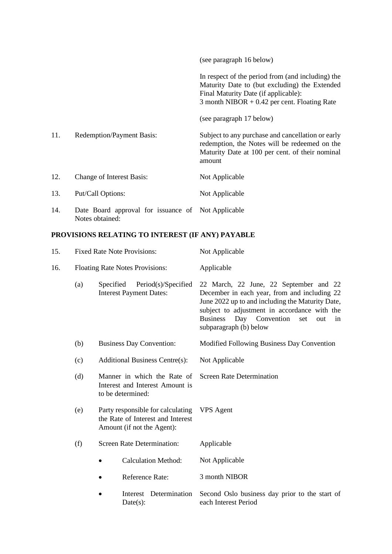|     |                                                                       | (see paragraph 16 below)                                                                                                                                                                     |
|-----|-----------------------------------------------------------------------|----------------------------------------------------------------------------------------------------------------------------------------------------------------------------------------------|
|     |                                                                       | In respect of the period from (and including) the<br>Maturity Date to (but excluding) the Extended<br>Final Maturity Date (if applicable):<br>3 month NIBOR $+ 0.42$ per cent. Floating Rate |
|     |                                                                       | (see paragraph 17 below)                                                                                                                                                                     |
| 11. | <b>Redemption/Payment Basis:</b>                                      | Subject to any purchase and cancellation or early<br>redemption, the Notes will be redeemed on the<br>Maturity Date at 100 per cent. of their nominal<br>amount                              |
| 12. | Change of Interest Basis:                                             | Not Applicable                                                                                                                                                                               |
| 13. | Put/Call Options:                                                     | Not Applicable                                                                                                                                                                               |
| 14. | Date Board approval for issuance of Not Applicable<br>Notes obtained: |                                                                                                                                                                                              |

### **PROVISIONS RELATING TO INTEREST (IF ANY) PAYABLE**

| 15.                                                                                        |                                                                                                                                                                                       | <b>Fixed Rate Note Provisions:</b>                                 | Not Applicable                                                                                                                                                                                                                                                                   |  |
|--------------------------------------------------------------------------------------------|---------------------------------------------------------------------------------------------------------------------------------------------------------------------------------------|--------------------------------------------------------------------|----------------------------------------------------------------------------------------------------------------------------------------------------------------------------------------------------------------------------------------------------------------------------------|--|
| 16.                                                                                        |                                                                                                                                                                                       | Floating Rate Notes Provisions:                                    | Applicable                                                                                                                                                                                                                                                                       |  |
|                                                                                            | (a)                                                                                                                                                                                   | Specified<br>Period(s)/Specified<br><b>Interest Payment Dates:</b> | 22 March, 22 June, 22 September and 22<br>December in each year, from and including 22<br>June 2022 up to and including the Maturity Date,<br>subject to adjustment in accordance with the<br><b>Business</b><br>Day<br>Convention<br>set<br>out<br>in<br>subparagraph (b) below |  |
|                                                                                            | (b)                                                                                                                                                                                   | <b>Business Day Convention:</b>                                    | Modified Following Business Day Convention                                                                                                                                                                                                                                       |  |
|                                                                                            | (c)                                                                                                                                                                                   | <b>Additional Business Centre(s):</b>                              | Not Applicable                                                                                                                                                                                                                                                                   |  |
| Manner in which the Rate of<br>(d)<br>Interest and Interest Amount is<br>to be determined: |                                                                                                                                                                                       |                                                                    | <b>Screen Rate Determination</b>                                                                                                                                                                                                                                                 |  |
|                                                                                            | (e)<br>Party responsible for calculating<br>the Rate of Interest and Interest<br>Amount (if not the Agent):<br><b>Screen Rate Determination:</b><br>(f)<br><b>Calculation Method:</b> |                                                                    | <b>VPS</b> Agent                                                                                                                                                                                                                                                                 |  |
|                                                                                            |                                                                                                                                                                                       |                                                                    | Applicable                                                                                                                                                                                                                                                                       |  |
|                                                                                            |                                                                                                                                                                                       |                                                                    | Not Applicable                                                                                                                                                                                                                                                                   |  |
|                                                                                            |                                                                                                                                                                                       | <b>Reference Rate:</b>                                             | 3 month NIBOR                                                                                                                                                                                                                                                                    |  |
| Interest Determination<br>$\bullet$<br>Date(s):                                            |                                                                                                                                                                                       |                                                                    | Second Oslo business day prior to the start of<br>each Interest Period                                                                                                                                                                                                           |  |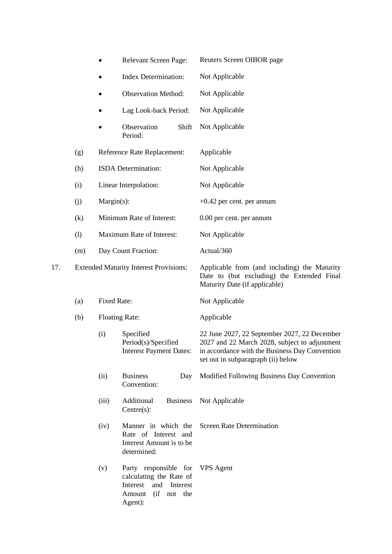|     |                                                                            |            | Relevant Screen Page:                                                                                                         | Reuters Screen OIBOR page                                                                                                                                                             |  |
|-----|----------------------------------------------------------------------------|------------|-------------------------------------------------------------------------------------------------------------------------------|---------------------------------------------------------------------------------------------------------------------------------------------------------------------------------------|--|
|     |                                                                            |            | <b>Index Determination:</b>                                                                                                   | Not Applicable                                                                                                                                                                        |  |
|     |                                                                            |            | <b>Observation Method:</b>                                                                                                    | Not Applicable                                                                                                                                                                        |  |
|     |                                                                            |            | Lag Look-back Period:                                                                                                         | Not Applicable                                                                                                                                                                        |  |
|     |                                                                            |            | Observation<br>Shift<br>Period:                                                                                               | Not Applicable                                                                                                                                                                        |  |
|     | (g)                                                                        |            | Reference Rate Replacement:                                                                                                   | Applicable                                                                                                                                                                            |  |
|     | (h)                                                                        |            | ISDA Determination:                                                                                                           | Not Applicable                                                                                                                                                                        |  |
|     | (i)                                                                        |            | Linear Interpolation:                                                                                                         | Not Applicable                                                                                                                                                                        |  |
|     | (j)                                                                        | Margin(s): |                                                                                                                               | $+0.42$ per cent. per annum                                                                                                                                                           |  |
|     | (k)                                                                        |            | Minimum Rate of Interest:                                                                                                     | 0.00 per cent. per annum                                                                                                                                                              |  |
|     | (1)                                                                        |            | Maximum Rate of Interest:                                                                                                     | Not Applicable                                                                                                                                                                        |  |
|     | (m)                                                                        |            | Day Count Fraction:                                                                                                           | Actual/360                                                                                                                                                                            |  |
| 17. | <b>Extended Maturity Interest Provisions:</b><br><b>Fixed Rate:</b><br>(a) |            |                                                                                                                               | Applicable from (and including) the Maturity<br>Date to (but excluding) the Extended Final<br>Maturity Date (if applicable)                                                           |  |
|     |                                                                            |            |                                                                                                                               | Not Applicable                                                                                                                                                                        |  |
|     | (b)                                                                        |            | <b>Floating Rate:</b>                                                                                                         | Applicable                                                                                                                                                                            |  |
|     |                                                                            | (i)        | Specified<br>Period(s)/Specified<br><b>Interest Payment Dates:</b>                                                            | 22 June 2027, 22 September 2027, 22 December<br>2027 and 22 March 2028, subject to adjustment<br>in accordance with the Business Day Convention<br>set out in subparagraph (ii) below |  |
|     |                                                                            | (ii)       | <b>Business</b><br>Day<br>Convention:                                                                                         | Modified Following Business Day Convention                                                                                                                                            |  |
|     |                                                                            | (iii)      | Additional<br><b>Business</b><br>Centre(s):                                                                                   | Not Applicable                                                                                                                                                                        |  |
|     |                                                                            | (iv)       | Manner in which the<br>Rate of Interest and<br>Interest Amount is to be<br>determined:                                        | <b>Screen Rate Determination</b>                                                                                                                                                      |  |
|     |                                                                            | (v)        | Party responsible for VPS Agent<br>calculating the Rate of<br>Interest<br>and<br>Interest<br>Amount<br>(if not the<br>Agent): |                                                                                                                                                                                       |  |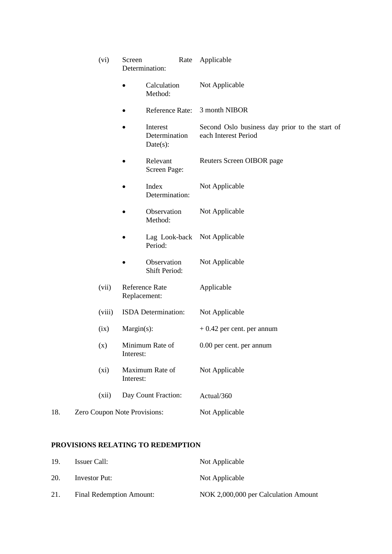|     |                                                                          | (vi)                         | Screen         | Determination:                        | Rate | Applicable                                                             |
|-----|--------------------------------------------------------------------------|------------------------------|----------------|---------------------------------------|------|------------------------------------------------------------------------|
|     |                                                                          |                              |                | Calculation<br>Method:                |      | Not Applicable                                                         |
|     |                                                                          |                              |                | Reference Rate:                       |      | 3 month NIBOR                                                          |
|     |                                                                          |                              |                | Interest<br>Determination<br>Date(s): |      | Second Oslo business day prior to the start of<br>each Interest Period |
|     |                                                                          |                              |                | Relevant<br>Screen Page:              |      | Reuters Screen OIBOR page                                              |
|     |                                                                          |                              |                | Index<br>Determination:               |      | Not Applicable                                                         |
|     |                                                                          |                              |                | Observation<br>Method:                |      | Not Applicable                                                         |
|     |                                                                          |                              |                | Period:                               |      | Lag Look-back Not Applicable                                           |
|     |                                                                          |                              |                | Observation<br>Shift Period:          |      | Not Applicable                                                         |
|     | (vii)<br>Reference Rate<br>Replacement:<br>(viii)<br>ISDA Determination: |                              |                | Applicable                            |      |                                                                        |
|     |                                                                          |                              | Not Applicable |                                       |      |                                                                        |
|     |                                                                          | (ix)                         |                | Margin(s):                            |      | $+0.42$ per cent. per annum                                            |
|     |                                                                          | (x)                          | Interest:      | Minimum Rate of                       |      | 0.00 per cent. per annum                                               |
|     |                                                                          | (xi)                         | Interest:      | Maximum Rate of                       |      | Not Applicable                                                         |
|     |                                                                          | (xii)                        |                | Day Count Fraction:                   |      | Actual/360                                                             |
| 18. |                                                                          | Zero Coupon Note Provisions: |                |                                       |      | Not Applicable                                                         |

## **PROVISIONS RELATING TO REDEMPTION**

| 19. | Issuer Call:             | Not Applicable                       |
|-----|--------------------------|--------------------------------------|
| 20. | Investor Put:            | Not Applicable                       |
| 21. | Final Redemption Amount: | NOK 2,000,000 per Calculation Amount |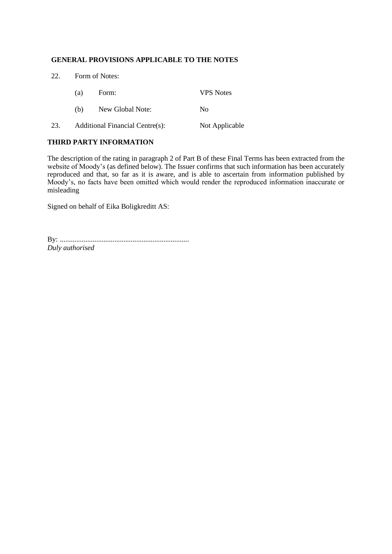#### **GENERAL PROVISIONS APPLICABLE TO THE NOTES**

| 22. | Form of Notes: |                                 |                  |  |  |  |  |
|-----|----------------|---------------------------------|------------------|--|--|--|--|
|     | (a)            | Form:                           | <b>VPS</b> Notes |  |  |  |  |
|     | (b)            | New Global Note:                | N <sub>0</sub>   |  |  |  |  |
| 23. |                | Additional Financial Centre(s): | Not Applicable   |  |  |  |  |

#### **THIRD PARTY INFORMATION**

The description of the rating in paragraph 2 of Part B of these Final Terms has been extracted from the website of Moody's (as defined below). The Issuer confirms that such information has been accurately reproduced and that, so far as it is aware, and is able to ascertain from information published by Moody's, no facts have been omitted which would render the reproduced information inaccurate or misleading

Signed on behalf of Eika Boligkreditt AS:

By: ....................................................................... *Duly authorised*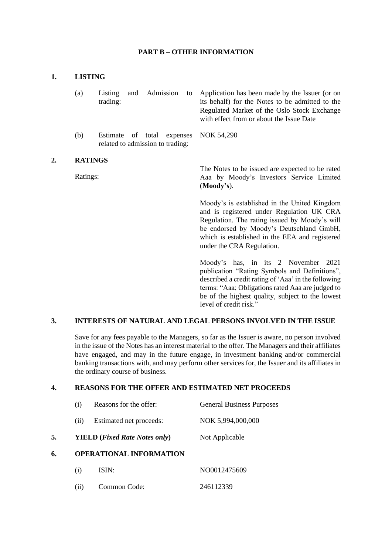#### **PART B – OTHER INFORMATION**

#### **1. LISTING**

- (a) Listing and Admission to trading: Application has been made by the Issuer (or on its behalf) for the Notes to be admitted to the Regulated Market of the Oslo Stock Exchange with effect from or about the Issue Date
- (b) Estimate of total expenses related to admission to trading: NOK 54,290

#### **2. RATINGS**

Ratings:

The Notes to be issued are expected to be rated Aaa by Moody's Investors Service Limited (**Moody's**).

Moody's is established in the United Kingdom and is registered under Regulation UK CRA Regulation. The rating issued by Moody's will be endorsed by Moody's Deutschland GmbH, which is established in the EEA and registered under the CRA Regulation.

Moody's has, in its 2 November 2021 publication "Rating Symbols and Definitions", described a credit rating of 'Aaa' in the following terms: "Aaa; Obligations rated Aaa are judged to be of the highest quality, subject to the lowest level of credit risk."

#### **3. INTERESTS OF NATURAL AND LEGAL PERSONS INVOLVED IN THE ISSUE**

Save for any fees payable to the Managers, so far as the Issuer is aware, no person involved in the issue of the Notes has an interest material to the offer. The Managers and their affiliates have engaged, and may in the future engage, in investment banking and/or commercial banking transactions with, and may perform other services for, the Issuer and its affiliates in the ordinary course of business.

#### **4. REASONS FOR THE OFFER AND ESTIMATED NET PROCEEDS**

|    | (1)  | Reasons for the offer:                        | <b>General Business Purposes</b> |  |
|----|------|-----------------------------------------------|----------------------------------|--|
|    | (11) | Estimated net proceeds:                       | NOK 5,994,000,000                |  |
| 5. |      | <b>YIELD</b> ( <i>Fixed Rate Notes only</i> ) | Not Applicable                   |  |
| 6. |      | <b>OPERATIONAL INFORMATION</b>                |                                  |  |
|    | (i)  | ISIN:                                         | NO0012475609                     |  |
|    | (11) | Common Code:                                  | 246112339                        |  |